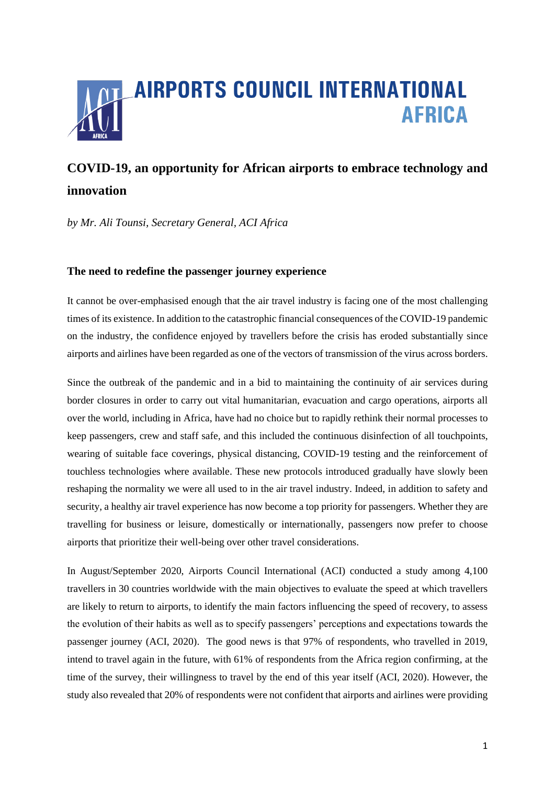

# **COVID-19, an opportunity for African airports to embrace technology and innovation**

*by Mr. Ali Tounsi, Secretary General, ACI Africa*

# **The need to redefine the passenger journey experience**

It cannot be over-emphasised enough that the air travel industry is facing one of the most challenging times of its existence. In addition to the catastrophic financial consequences of the COVID-19 pandemic on the industry, the confidence enjoyed by travellers before the crisis has eroded substantially since airports and airlines have been regarded as one of the vectors of transmission of the virus across borders.

Since the outbreak of the pandemic and in a bid to maintaining the continuity of air services during border closures in order to carry out vital humanitarian, evacuation and cargo operations, airports all over the world, including in Africa, have had no choice but to rapidly rethink their normal processes to keep passengers, crew and staff safe, and this included the continuous disinfection of all touchpoints, wearing of suitable face coverings, physical distancing, COVID-19 testing and the reinforcement of touchless technologies where available. These new protocols introduced gradually have slowly been reshaping the normality we were all used to in the air travel industry. Indeed, in addition to safety and security, a healthy air travel experience has now become a top priority for passengers. Whether they are travelling for business or leisure, domestically or internationally, passengers now prefer to choose airports that prioritize their well-being over other travel considerations.

In August/September 2020, Airports Council International (ACI) conducted a study among 4,100 travellers in 30 countries worldwide with the main objectives to evaluate the speed at which travellers are likely to return to airports, to identify the main factors influencing the speed of recovery, to assess the evolution of their habits as well as to specify passengers' perceptions and expectations towards the passenger journey (ACI, 2020). The good news is that 97% of respondents, who travelled in 2019, intend to travel again in the future, with 61% of respondents from the Africa region confirming, at the time of the survey, their willingness to travel by the end of this year itself (ACI, 2020). However, the study also revealed that 20% of respondents were not confident that airports and airlines were providing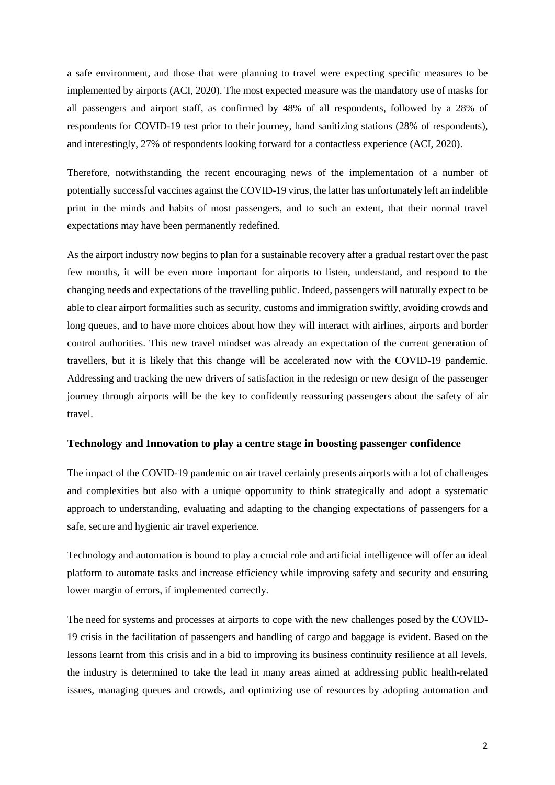a safe environment, and those that were planning to travel were expecting specific measures to be implemented by airports (ACI, 2020). The most expected measure was the mandatory use of masks for all passengers and airport staff, as confirmed by 48% of all respondents, followed by a 28% of respondents for COVID-19 test prior to their journey, hand sanitizing stations (28% of respondents), and interestingly, 27% of respondents looking forward for a contactless experience (ACI, 2020).

Therefore, notwithstanding the recent encouraging news of the implementation of a number of potentially successful vaccines against the COVID-19 virus, the latter has unfortunately left an indelible print in the minds and habits of most passengers, and to such an extent, that their normal travel expectations may have been permanently redefined.

As the airport industry now begins to plan for a sustainable recovery after a gradual restart over the past few months, it will be even more important for airports to listen, understand, and respond to the changing needs and expectations of the travelling public. Indeed, passengers will naturally expect to be able to clear airport formalities such as security, customs and immigration swiftly, avoiding crowds and long queues, and to have more choices about how they will interact with airlines, airports and border control authorities. This new travel mindset was already an expectation of the current generation of travellers, but it is likely that this change will be accelerated now with the COVID-19 pandemic. Addressing and tracking the new drivers of satisfaction in the redesign or new design of the passenger journey through airports will be the key to confidently reassuring passengers about the safety of air travel.

## **Technology and Innovation to play a centre stage in boosting passenger confidence**

The impact of the COVID-19 pandemic on air travel certainly presents airports with a lot of challenges and complexities but also with a unique opportunity to think strategically and adopt a systematic approach to understanding, evaluating and adapting to the changing expectations of passengers for a safe, secure and hygienic air travel experience.

Technology and automation is bound to play a crucial role and artificial intelligence will offer an ideal platform to automate tasks and increase efficiency while improving safety and security and ensuring lower margin of errors, if implemented correctly.

The need for systems and processes at airports to cope with the new challenges posed by the COVID-19 crisis in the facilitation of passengers and handling of cargo and baggage is evident. Based on the lessons learnt from this crisis and in a bid to improving its business continuity resilience at all levels, the industry is determined to take the lead in many areas aimed at addressing public health-related issues, managing queues and crowds, and optimizing use of resources by adopting automation and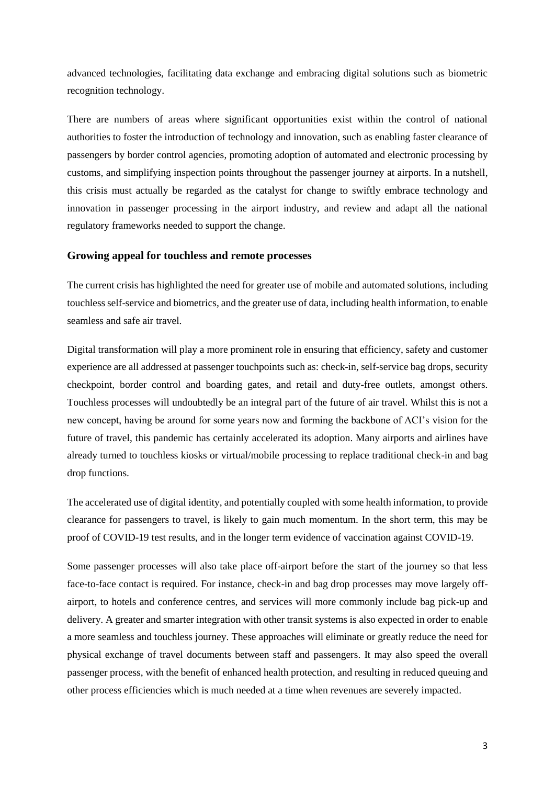advanced technologies, facilitating data exchange and embracing digital solutions such as biometric recognition technology.

There are numbers of areas where significant opportunities exist within the control of national authorities to foster the introduction of technology and innovation, such as enabling faster clearance of passengers by border control agencies, promoting adoption of automated and electronic processing by customs, and simplifying inspection points throughout the passenger journey at airports. In a nutshell, this crisis must actually be regarded as the catalyst for change to swiftly embrace technology and innovation in passenger processing in the airport industry, and review and adapt all the national regulatory frameworks needed to support the change.

#### **Growing appeal for touchless and remote processes**

The current crisis has highlighted the need for greater use of mobile and automated solutions, including touchless self-service and biometrics, and the greater use of data, including health information, to enable seamless and safe air travel.

Digital transformation will play a more prominent role in ensuring that efficiency, safety and customer experience are all addressed at passenger touchpoints such as: check-in, self-service bag drops, security checkpoint, border control and boarding gates, and retail and duty-free outlets, amongst others. Touchless processes will undoubtedly be an integral part of the future of air travel. Whilst this is not a new concept, having be around for some years now and forming the backbone of ACI's vision for the future of travel, this pandemic has certainly accelerated its adoption. Many airports and airlines have already turned to touchless kiosks or virtual/mobile processing to replace traditional check-in and bag drop functions.

The accelerated use of digital identity, and potentially coupled with some health information, to provide clearance for passengers to travel, is likely to gain much momentum. In the short term, this may be proof of COVID-19 test results, and in the longer term evidence of vaccination against COVID-19.

Some passenger processes will also take place off-airport before the start of the journey so that less face-to-face contact is required. For instance, check-in and bag drop processes may move largely offairport, to hotels and conference centres, and services will more commonly include bag pick-up and delivery. A greater and smarter integration with other transit systems is also expected in order to enable a more seamless and touchless journey. These approaches will eliminate or greatly reduce the need for physical exchange of travel documents between staff and passengers. It may also speed the overall passenger process, with the benefit of enhanced health protection, and resulting in reduced queuing and other process efficiencies which is much needed at a time when revenues are severely impacted.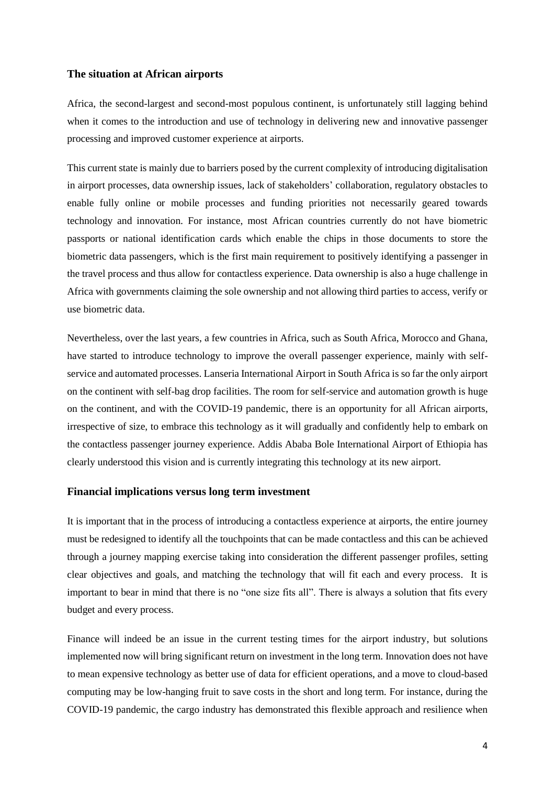## **The situation at African airports**

Africa, the second-largest and second-most populous continent, is unfortunately still lagging behind when it comes to the introduction and use of technology in delivering new and innovative passenger processing and improved customer experience at airports.

This current state is mainly due to barriers posed by the current complexity of introducing digitalisation in airport processes, data ownership issues, lack of stakeholders' collaboration, regulatory obstacles to enable fully online or mobile processes and funding priorities not necessarily geared towards technology and innovation. For instance, most African countries currently do not have biometric passports or national identification cards which enable the chips in those documents to store the biometric data passengers, which is the first main requirement to positively identifying a passenger in the travel process and thus allow for contactless experience. Data ownership is also a huge challenge in Africa with governments claiming the sole ownership and not allowing third parties to access, verify or use biometric data.

Nevertheless, over the last years, a few countries in Africa, such as South Africa, Morocco and Ghana, have started to introduce technology to improve the overall passenger experience, mainly with selfservice and automated processes. Lanseria International Airport in South Africa is so far the only airport on the continent with self-bag drop facilities. The room for self-service and automation growth is huge on the continent, and with the COVID-19 pandemic, there is an opportunity for all African airports, irrespective of size, to embrace this technology as it will gradually and confidently help to embark on the contactless passenger journey experience. Addis Ababa Bole International Airport of Ethiopia has clearly understood this vision and is currently integrating this technology at its new airport.

#### **Financial implications versus long term investment**

It is important that in the process of introducing a contactless experience at airports, the entire journey must be redesigned to identify all the touchpoints that can be made contactless and this can be achieved through a journey mapping exercise taking into consideration the different passenger profiles, setting clear objectives and goals, and matching the technology that will fit each and every process. It is important to bear in mind that there is no "one size fits all". There is always a solution that fits every budget and every process.

Finance will indeed be an issue in the current testing times for the airport industry, but solutions implemented now will bring significant return on investment in the long term. Innovation does not have to mean expensive technology as better use of data for efficient operations, and a move to cloud-based computing may be low-hanging fruit to save costs in the short and long term. For instance, during the COVID-19 pandemic, the cargo industry has demonstrated this flexible approach and resilience when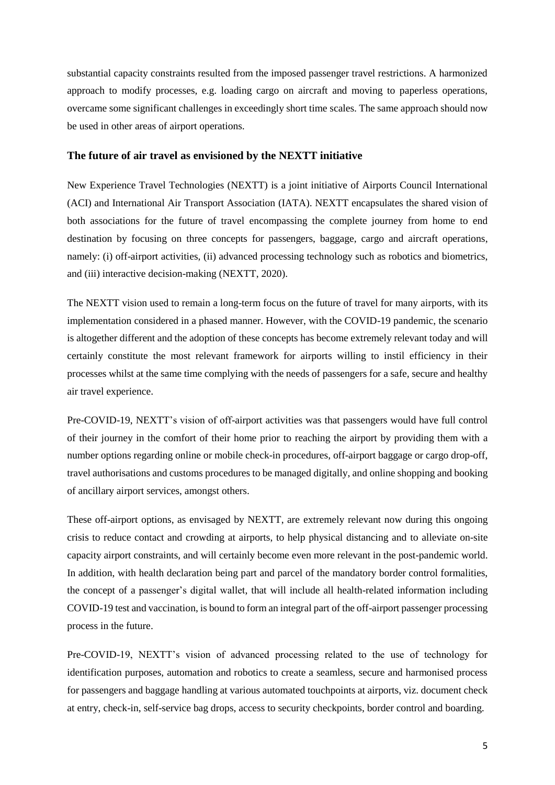substantial capacity constraints resulted from the imposed passenger travel restrictions. A harmonized approach to modify processes, e.g. loading cargo on aircraft and moving to paperless operations, overcame some significant challenges in exceedingly short time scales. The same approach should now be used in other areas of airport operations.

#### **The future of air travel as envisioned by the NEXTT initiative**

New Experience Travel Technologies (NEXTT) is a joint initiative of Airports Council International (ACI) and International Air Transport Association (IATA). NEXTT encapsulates the shared vision of both associations for the future of travel encompassing the complete journey from home to end destination by focusing on three concepts for passengers, baggage, cargo and aircraft operations, namely: (i) off-airport activities, (ii) advanced processing technology such as robotics and biometrics, and (iii) interactive decision-making (NEXTT, 2020).

The NEXTT vision used to remain a long-term focus on the future of travel for many airports, with its implementation considered in a phased manner. However, with the COVID-19 pandemic, the scenario is altogether different and the adoption of these concepts has become extremely relevant today and will certainly constitute the most relevant framework for airports willing to instil efficiency in their processes whilst at the same time complying with the needs of passengers for a safe, secure and healthy air travel experience.

Pre-COVID-19, NEXTT's vision of off-airport activities was that passengers would have full control of their journey in the comfort of their home prior to reaching the airport by providing them with a number options regarding online or mobile check-in procedures, off-airport baggage or cargo drop-off, travel authorisations and customs procedures to be managed digitally, and online shopping and booking of ancillary airport services, amongst others.

These off-airport options, as envisaged by NEXTT, are extremely relevant now during this ongoing crisis to reduce contact and crowding at airports, to help physical distancing and to alleviate on-site capacity airport constraints, and will certainly become even more relevant in the post-pandemic world. In addition, with health declaration being part and parcel of the mandatory border control formalities, the concept of a passenger's digital wallet, that will include all health-related information including COVID-19 test and vaccination, is bound to form an integral part of the off-airport passenger processing process in the future.

Pre-COVID-19, NEXTT's vision of advanced processing related to the use of technology for identification purposes, automation and robotics to create a seamless, secure and harmonised process for passengers and baggage handling at various automated touchpoints at airports, viz. document check at entry, check-in, self-service bag drops, access to security checkpoints, border control and boarding.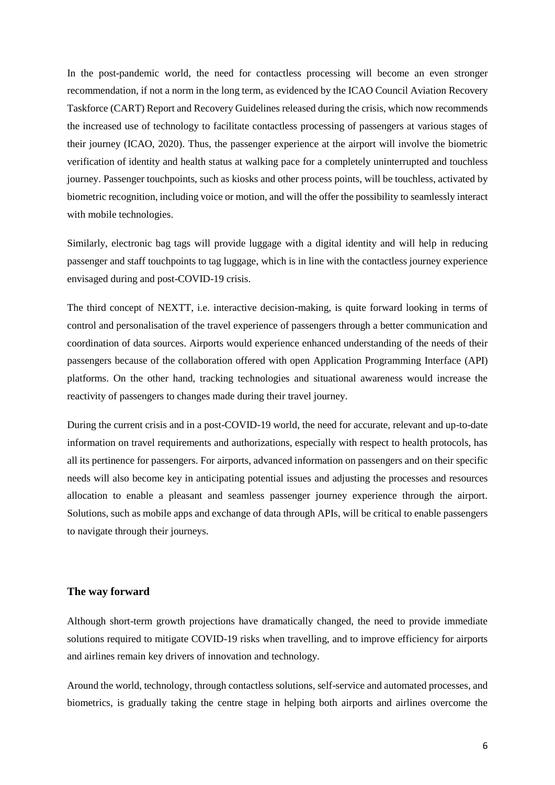In the post-pandemic world, the need for contactless processing will become an even stronger recommendation, if not a norm in the long term, as evidenced by the ICAO Council Aviation Recovery Taskforce (CART) Report and Recovery Guidelines released during the crisis, which now recommends the increased use of technology to facilitate contactless processing of passengers at various stages of their journey (ICAO, 2020). Thus, the passenger experience at the airport will involve the biometric verification of identity and health status at walking pace for a completely uninterrupted and touchless journey. Passenger touchpoints, such as kiosks and other process points, will be touchless, activated by biometric recognition, including voice or motion, and will the offer the possibility to seamlessly interact with mobile technologies.

Similarly, electronic bag tags will provide luggage with a digital identity and will help in reducing passenger and staff touchpoints to tag luggage, which is in line with the contactless journey experience envisaged during and post-COVID-19 crisis.

The third concept of NEXTT, i.e. interactive decision-making, is quite forward looking in terms of control and personalisation of the travel experience of passengers through a better communication and coordination of data sources. Airports would experience enhanced understanding of the needs of their passengers because of the collaboration offered with open Application Programming Interface (API) platforms. On the other hand, tracking technologies and situational awareness would increase the reactivity of passengers to changes made during their travel journey.

During the current crisis and in a post-COVID-19 world, the need for accurate, relevant and up-to-date information on travel requirements and authorizations, especially with respect to health protocols, has all its pertinence for passengers. For airports, advanced information on passengers and on their specific needs will also become key in anticipating potential issues and adjusting the processes and resources allocation to enable a pleasant and seamless passenger journey experience through the airport. Solutions, such as mobile apps and exchange of data through APIs, will be critical to enable passengers to navigate through their journeys.

## **The way forward**

Although short-term growth projections have dramatically changed, the need to provide immediate solutions required to mitigate COVID-19 risks when travelling, and to improve efficiency for airports and airlines remain key drivers of innovation and technology.

Around the world, technology, through contactless solutions, self-service and automated processes, and biometrics, is gradually taking the centre stage in helping both airports and airlines overcome the